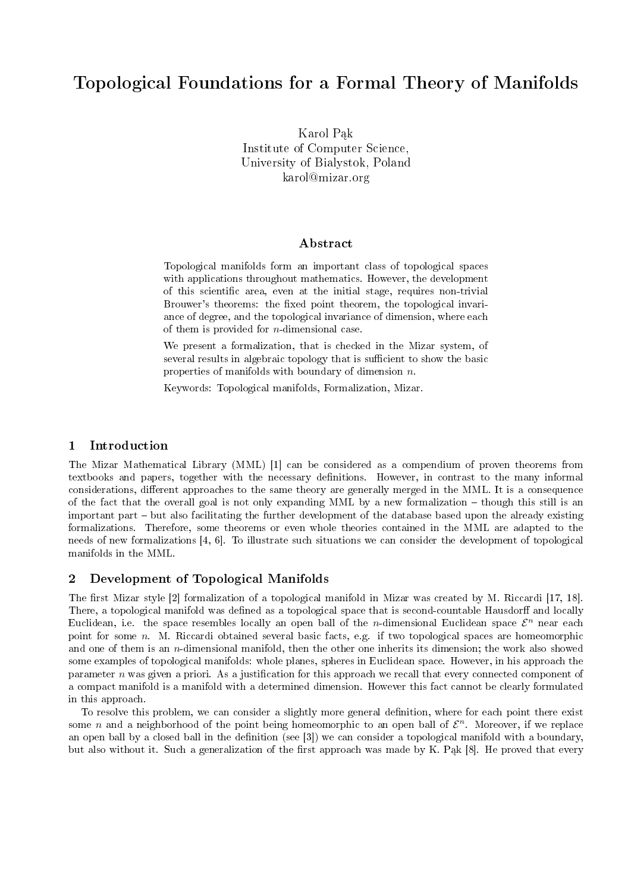# Topological Foundations for a Formal Theory of Manifolds

Karol Pak Institute of Computer Science, University of Bialystok, Poland karol@mizar.org

#### Abstract

Topological manifolds form an important class of topological spaces with applications throughout mathematics. However, the development of this scientific area, even at the initial stage, requires non-trivial Brouwer's theorems: the fixed point theorem, the topological invariance of degree, and the topological invariance of dimension, where each of them is provided for  $n$ -dimensional case.

We present a formalization, that is checked in the Mizar system, of several results in algebraic topology that is sufficient to show the basic properties of manifolds with boundary of dimension  $n$ .

Keywords: Topological manifolds, Formalization, Mizar.

#### 1 Introduction

The Mizar Mathematical Library (MML) [1] can be considered as a compendium of proven theorems from textbooks and papers, together with the necessary definitions. However, in contrast to the many informal considerations, different approaches to the same theory are generally merged in the MML. It is a consequence of the fact that the overall goal is not only expanding MML by a new formalization though this still is an important part but also facilitating the further development of the database based upon the already existing formalizations. Therefore, some theorems or even whole theories contained in the MML are adapted to the needs of new formalizations [4, 6]. To illustrate such situations we can consider the development of topological manifolds in the MML.

## 2 Development of Topological Manifolds

The first Mizar style [2] formalization of a topological manifold in Mizar was created by M. Riccardi [17, 18]. There, a topological manifold was defined as a topological space that is second-countable Hausdorff and locally Euclidean, i.e. the space resembles locally an open ball of the *n*-dimensional Euclidean space  $\mathcal{E}^n$  near each point for some n. M. Riccardi obtained several basic facts, e.g. if two topological spaces are homeomorphic and one of them is an n-dimensional manifold, then the other one inherits its dimension; the work also showed some examples of topological manifolds: whole planes, spheres in Euclidean space. However, in his approach the parameter  $n$  was given a priori. As a justification for this approach we recall that every connected component of a compact manifold is a manifold with a determined dimension. However this fact cannot be clearly formulated in this approach.

To resolve this problem, we can consider a slightly more general definition, where for each point there exist some *n* and a neighborhood of the point being homeomorphic to an open ball of  $\mathcal{E}^n$ . Moreover, if we replace an open ball by a closed ball in the definition (see [3]) we can consider a topological manifold with a boundary, but also without it. Such a generalization of the first approach was made by K. Pak [8]. He proved that every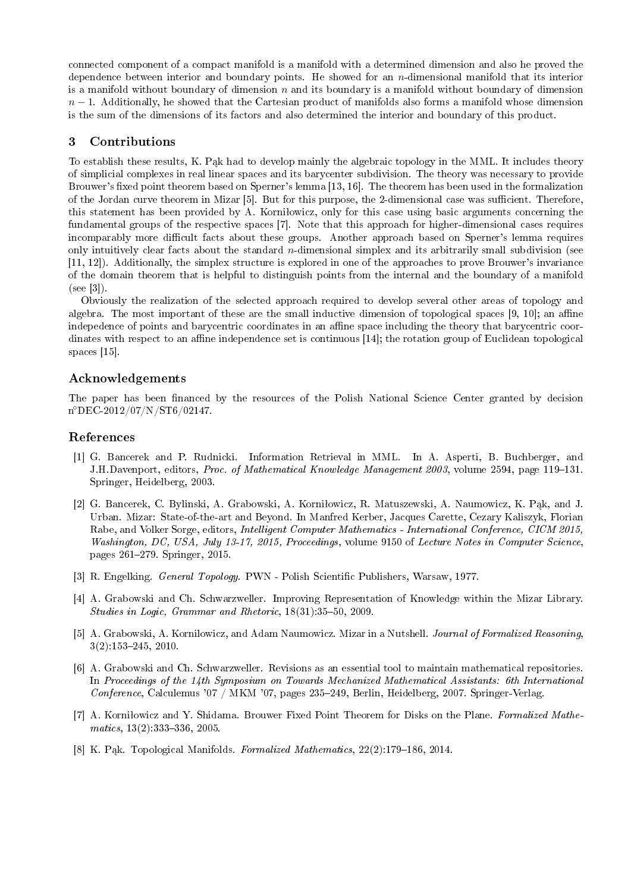connected component of a compact manifold is a manifold with a determined dimension and also he proved the dependence between interior and boundary points. He showed for an  $n$ -dimensional manifold that its interior is a manifold without boundary of dimension  $n$  and its boundary is a manifold without boundary of dimension  $n-1$ . Additionally, he showed that the Cartesian product of manifolds also forms a manifold whose dimension is the sum of the dimensions of its factors and also determined the interior and boundary of this product.

## 3 Contributions

To establish these results, K. Pak had to develop mainly the algebraic topology in the MML. It includes theory of simplicial complexes in real linear spaces and its barycenter subdivision. The theory was necessary to provide Brouwer's fixed point theorem based on Sperner's lemma [13, 16]. The theorem has been used in the formalization of the Jordan curve theorem in Mizar [5]. But for this purpose, the 2-dimensional case was sufficient. Therefore, this statement has been provided by A. Korniłowicz, only for this case using basic arguments concerning the fundamental groups of the respective spaces [7]. Note that this approach for higher-dimensional cases requires incomparably more difficult facts about these groups. Another approach based on Sperner's lemma requires only intuitively clear facts about the standard  $n$ -dimensional simplex and its arbitrarily small subdivision (see [11, 12]). Additionally, the simplex structure is explored in one of the approaches to prove Brouwer's invariance of the domain theorem that is helpful to distinguish points from the internal and the boundary of a manifold (see [3]).

Obviously the realization of the selected approach required to develop several other areas of topology and algebra. The most important of these are the small inductive dimension of topological spaces  $[9, 10]$ ; an affine indepedence of points and barycentric coordinates in an affine space including the theory that barycentric coordinates with respect to an affine independence set is continuous [14]; the rotation group of Euclidean topological spaces [15].

## Acknowledgements

The paper has been financed by the resources of the Polish National Science Center granted by decision n ◦DEC-2012/07/N/ST6/02147.

#### References

- [1] G. Bancerek and P. Rudnicki. Information Retrieval in MML. In A. Asperti, B. Buchberger, and J.H.Davenport, editors, Proc. of Mathematical Knowledge Management 2003, volume 2594, page 119–131. Springer, Heidelberg, 2003.
- [2] G. Bancerek, C. Bylinski, A. Grabowski, A. Korniłowicz, R. Matuszewski, A. Naumowicz, K. Pak, and J. Urban. Mizar: State-of-the-art and Beyond. In Manfred Kerber, Jacques Carette, Cezary Kaliszyk, Florian Rabe, and Volker Sorge, editors, Intelligent Computer Mathematics - International Conference, CICM 2015, Washington, DC, USA, July 13-17, 2015, Proceedings, volume 9150 of Lecture Notes in Computer Science, pages 261279. Springer, 2015.
- [3] R. Engelking. General Topology. PWN Polish Scientic Publishers, Warsaw, 1977.
- [4] A. Grabowski and Ch. Schwarzweller. Improving Representation of Knowledge within the Mizar Library. Studies in Logic, Grammar and Rhetoric,  $18(31):35-50$ , 2009.
- [5] A. Grabowski, A. Kornilowicz, and Adam Naumowicz. Mizar in a Nutshell. Journal of Formalized Reasoning, 3(2):153245, 2010.
- [6] A. Grabowski and Ch. Schwarzweller. Revisions as an essential tool to maintain mathematical repositories. In Proceedings of the 14th Symposium on Towards Mechanized Mathematical Assistants: 6th International Conference, Calculemus '07 / MKM '07, pages  $235-249$ , Berlin, Heidelberg, 2007. Springer-Verlag.
- [7] A. Korniłowicz and Y. Shidama. Brouwer Fixed Point Theorem for Disks on the Plane. Formalized Mathe $matics, 13(2): 333-336, 2005.$
- [8] K. Pak. Topological Manifolds. Formalized Mathematics,  $22(2):179-186$ , 2014.